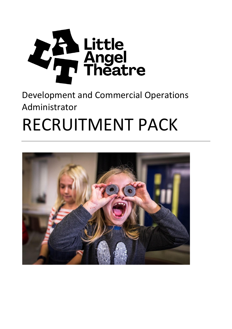

### Development and Commercial Operations Administrator

# RECRUITMENT PACK

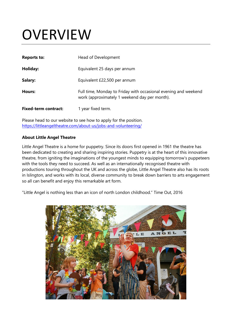### **OVERVIEW**

| <b>Reports to:</b>          | Head of Development                                                                                              |
|-----------------------------|------------------------------------------------------------------------------------------------------------------|
| Holiday:                    | Equivalent 25 days per annum                                                                                     |
| Salary:                     | Equivalent £22,500 per annum                                                                                     |
| Hours:                      | Full time, Monday to Friday with occasional evening and weekend<br>work (approximately 1 weekend day per month). |
| <b>Fixed-term contract:</b> | 1 year fixed term.                                                                                               |

Please head to our website to see how to apply for the position. <https://littleangeltheatre.com/about-us/jobs-and-volunteering/>

#### **About Little Angel Theatre**

Little Angel Theatre is a home for puppetry. Since its doors first opened in 1961 the theatre has been dedicated to creating and sharing inspiring stories. Puppetry is at the heart of this innovative theatre, from igniting the imaginations of the youngest minds to equipping tomorrow's puppeteers with the tools they need to succeed. As well as an internationally recognised theatre with productions touring throughout the UK and across the globe, Little Angel Theatre also has its roots in Islington, and works with its local, diverse community to break down barriers to arts engagement so all can benefit and enjoy this remarkable art form.

"Little Angel is nothing less than an icon of north London childhood." Time Out, 2016

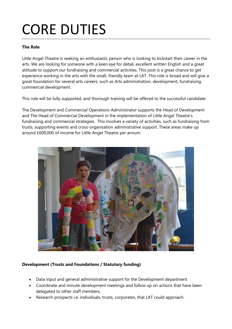### CORE DUTIES

#### **The Role**

Little Angel Theatre is seeking an enthusiastic person who is looking to kickstart their career in the arts. We are looking for someone with a keen eye for detail, excellent written English and a great attitude to support our fundraising and commercial activities. This post is a great chance to get experience working in the arts with the small, friendly team at LAT. This role is broad and will give a great foundation for several arts careers, such as Arts administration, development, fundraising, commercial development.

This role will be fully supported, and thorough training will be offered to the successful candidate.

The Development and Commercial Operations Administrator supports the Head of Development and The Head of Commercial Development in the implementation of Little Angel Theatre's fundraising and commercial strategies. This involves a variety of activities, such as fundraising from trusts, supporting events and cross-organisation administrative support. These areas make up around £600,000 of income for Little Angel Theatre per annum.



#### **Development (Trusts and Foundations / Statutory funding)**

- Data input and general administrative support for the Development department
- Coordinate and minute development meetings and follow up on actions that have been delegated to other staff members.
- Research prospects i.e. individuals, trusts, corporates, that LAT could approach.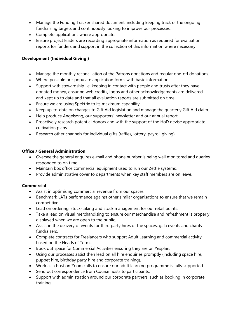- Manage the Funding Tracker shared document, including keeping track of the ongoing fundraising targets and continuously looking to improve our processes.
- Complete applications where appropriate.
- Ensure project leaders are recording appropriate information as required for evaluation reports for funders and support in the collection of this information where necessary.

#### **Development (Individual Giving )**

- Manage the monthly reconciliation of the Patrons donations and regular one-off donations.
- Where possible pre-populate application forms with basic information.
- Support with stewardship i.e. keeping in contact with people and trusts after they have donated money, ensuring web credits, logos and other acknowledgements are delivered and kept up to date and that all evaluation reports are submitted on time.
- Ensure we are using Spektrix to its maximum capability.
- Keep up-to-date on changes to Gift Aid legislation and manage the quarterly Gift Aid claim.
- Help produce Angelsong, our supporters' newsletter and our annual report.
- Proactively research potential donors and with the support of the HoD devise appropriate cultivation plans.
- Research other channels for individual gifts (raffles, lottery, payroll giving).

#### **Office / General Administration**

- Oversee the general enquires e-mail and phone number is being well monitored and queries responded to on time.
- Maintain box office commercial equipment used to run our Zettle systems.
- Provide administrative cover to departments when key staff members are on leave.

#### **Commercial**

- Assist in optimising commercial revenue from our spaces.
- Benchmark LATs performance against other similar organisations to ensure that we remain competitive.
- Lead on ordering, stock-taking and stock management for our retail points.
- Take a lead on visual merchandising to ensure our merchandise and refreshment is properly displayed when we are open to the public.
- Assist in the delivery of events for third party hires of the spaces, gala events and charity fundraisers.
- Complete contracts for Freelancers who support Adult Learning and commercial activity based on the Heads of Terms.
- Book out space for Commercial Activities ensuring they are on Yesplan.
- Using our processes assist then lead on all hire enquiries promptly (including space hire, puppet hire, birthday party hire and corporate training).
- Work as a host on Zoom calls to ensure our adult learning programme is fully supported.
- Send out correspondence from Course hosts to participants.
- Support with administration around our corporate partners, such as booking in corporate training.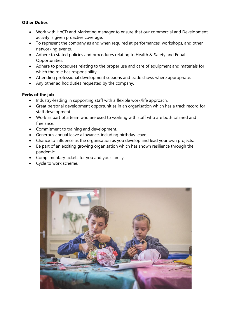#### **Other Duties**

- Work with HoCD and Marketing manager to ensure that our commercial and Development activity is given proactive coverage.
- To represent the company as and when required at performances, workshops, and other networking events.
- Adhere to stated policies and procedures relating to Health & Safety and Equal Opportunities.
- Adhere to procedures relating to the proper use and care of equipment and materials for which the role has responsibility.
- Attending professional development sessions and trade shows where appropriate.
- Any other ad hoc duties requested by the company.

#### **Perks of the job**

- Industry-leading in supporting staff with a flexible work/life approach.
- Great personal development opportunities in an organisation which has a track record for staff development.
- Work as part of a team who are used to working with staff who are both salaried and freelance.
- Commitment to training and development.
- Generous annual leave allowance, including birthday leave.
- Chance to influence as the organisation as you develop and lead your own projects.
- Be part of an exciting growing organisation which has shown resilience through the pandemic.
- Complimentary tickets for you and your family.
- Cycle to work scheme.

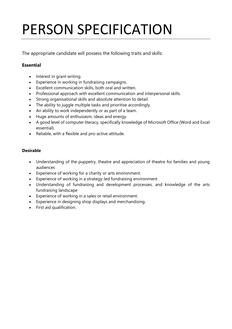## PERSON SPECIFICATION

The appropriate candidate will possess the following traits and skills:

#### **Essential**

- Interest in grant writing.
- Experience in working in fundraising campaigns.
- Excellent communication skills, both oral and written.
- Professional approach with excellent communication and interpersonal skills.
- Strong organisational skills and absolute attention to detail.
- The ability to juggle multiple tasks and prioritise accordingly.
- An ability to work independently or as part of a team.
- Huge amounts of enthusiasm, ideas and energy.
- A good level of computer literacy, specifically knowledge of Microsoft Office (Word and Excel essential).
- Reliable, with a flexible and pro-active attitude.

#### **Desirable**

- Understanding of the puppetry, theatre and appreciation of theatre for families and young audiences
- Experience of working for a charity or arts environment.
- Experience of working in a strategy-led fundraising environment
- Understanding of fundraising and development processes, and knowledge of the arts fundraising landscape
- Experience of working in a sales or retail environment.
- Experience in designing shop displays and merchandising.
- First aid qualification.